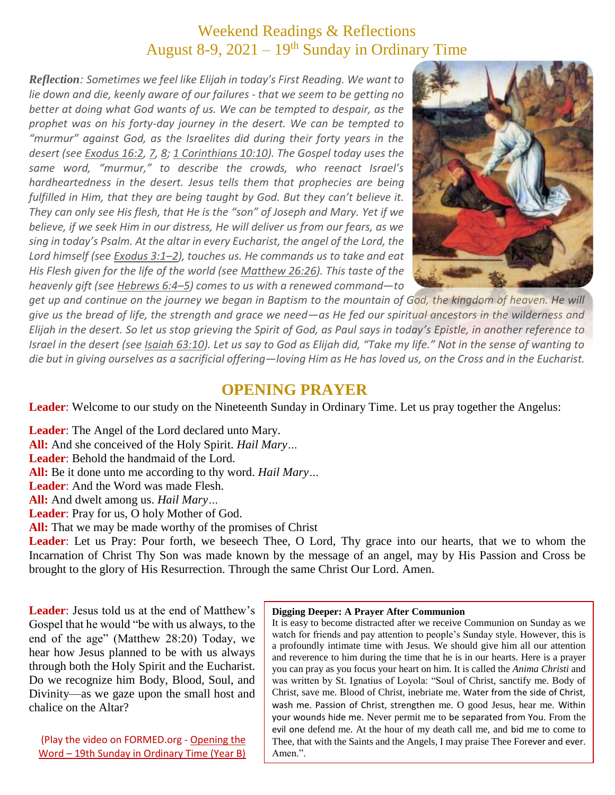# Weekend Readings & Reflections August 8-9,  $2021 - 19$ <sup>th</sup> Sunday in Ordinary Time

*Reflection: Sometimes we feel like Elijah in today's First Reading. We want to lie down and die, keenly aware of our failures - that we seem to be getting no better at doing what God wants of us. We can be tempted to despair, as the prophet was on his forty-day journey in the desert. We can be tempted to "murmur" against God, as the Israelites did during their forty years in the desert (see [Exodus](https://biblia.com/bible/rsvce/Exod%2016.2) 16:2, [7,](https://biblia.com/bible/rsvce/Exodus%2016.7) [8;](https://biblia.com/bible/rsvce/Exodus%2016.8) 1 [Corinthians](https://biblia.com/bible/rsvce/1%20Cor%2010.10) 10:10). The Gospel today uses the same word, "murmur," to describe the crowds, who reenact Israel's hardheartedness in the desert. Jesus tells them that prophecies are being fulfilled in Him, that they are being taught by God. But they can't believe it. They can only see His flesh, that He is the "son" of Joseph and Mary. Yet if we believe, if we seek Him in our distress, He will deliver us from our fears, as we sing in today's Psalm. At the altar in every Eucharist, the angel of the Lord, the Lord himself (see [Exodus](https://biblia.com/bible/rsvce/Exod%203.1%E2%80%932) 3:1–2), touches us. He commands us to take and eat His Flesh given for the life of the world (see [Matthew](https://biblia.com/bible/rsvce/Matt%2026.26) 26:26). This taste of the heavenly gift (see [Hebrews](https://biblia.com/bible/rsvce/Heb%206.4%E2%80%935) 6:4–5) comes to us with a renewed command—to*



*get up and continue on the journey we began in Baptism to the mountain of God, the kingdom of heaven. He will give us the bread of life, the strength and grace we need—as He fed our spiritual ancestors in the wilderness and Elijah in the desert. So let us stop grieving the Spirit of God, as Paul says in today's Epistle, in another reference to Israel in the desert (see Isaiah [63:10\)](https://biblia.com/bible/rsvce/Isa%2063.10). Let us say to God as Elijah did, "Take my life." Not in the sense of wanting to die but in giving ourselves as a sacrificial offering—loving Him as He has loved us, on the Cross and in the Eucharist.*

### **OPENING PRAYER**

Leader: Welcome to our study on the Nineteenth Sunday in Ordinary Time. Let us pray together the Angelus:

**Leader**: The Angel of the Lord declared unto Mary. **All:** And she conceived of the Holy Spirit. *Hail Mary…* **Leader**: Behold the handmaid of the Lord. **All:** Be it done unto me according to thy word. *Hail Mary…* **Leader**: And the Word was made Flesh. **All:** And dwelt among us. *Hail Mary…* **Leader**: Pray for us, O holy Mother of God.

**All:** That we may be made worthy of the promises of Christ

**Leader**: Let us Pray: Pour forth, we beseech Thee, O Lord, Thy grace into our hearts, that we to whom the Incarnation of Christ Thy Son was made known by the message of an angel, may by His Passion and Cross be brought to the glory of His Resurrection. Through the same Christ Our Lord. Amen.

**Leader**: Jesus told us at the end of Matthew's Gospel that he would "be with us always, to the end of the age" (Matthew 28:20) Today, we hear how Jesus planned to be with us always through both the Holy Spirit and the Eucharist. Do we recognize him Body, Blood, Soul, and Divinity—as we gaze upon the small host and chalice on the Altar?

(Play the video on FORMED.org - [Opening the](https://watch.formed.org/opening-the-word-1/season:2/videos/19th-sunday-in-ordinary-time-august-12-2018)  Word – [19th Sunday in Ordinary Time \(Year B\)](https://watch.formed.org/opening-the-word-1/season:2/videos/19th-sunday-in-ordinary-time-august-12-2018)

#### **Digging Deeper: A Prayer After Communion**

It is easy to become distracted after we receive Communion on Sunday as we watch for friends and pay attention to people's Sunday style. However, this is a profoundly intimate time with Jesus. We should give him all our attention and reverence to him during the time that he is in our hearts. Here is a prayer you can pray as you focus your heart on him. It is called the *Anima Christi* and was written by St. Ignatius of Loyola: "Soul of Christ, sanctify me. Body of Christ, save me. Blood of Christ, inebriate me. Water from the side of Christ, wash me. Passion of Christ, strengthen me. O good Jesus, hear me. Within your wounds hide me. Never permit me to be separated from You. From the evil one defend me. At the hour of my death call me, and bid me to come to Thee, that with the Saints and the Angels, I may praise Thee Forever and ever. Amen.".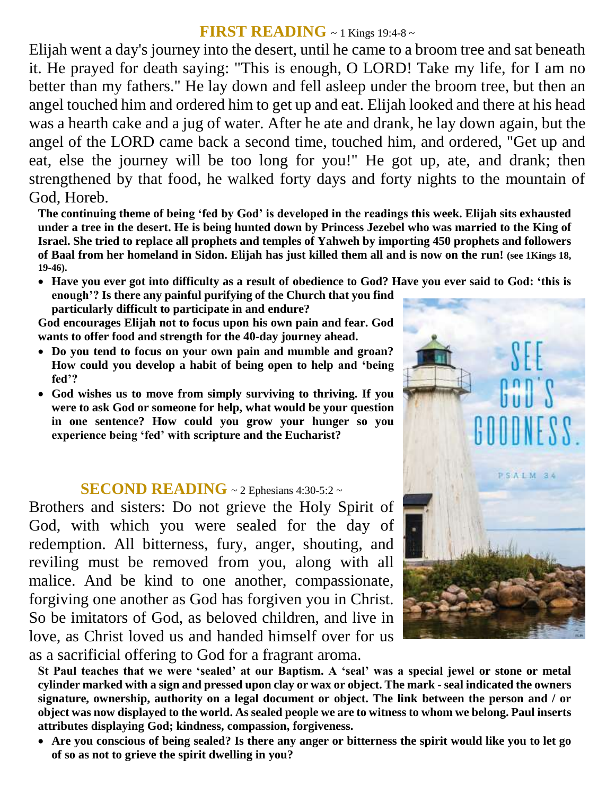### **FIRST READING** ~ 1 Kings 19:4-8 ~

Elijah went a day's journey into the desert, until he came to a broom tree and sat beneath it. He prayed for death saying: "This is enough, O LORD! Take my life, for I am no better than my fathers." He lay down and fell asleep under the broom tree, but then an angel touched him and ordered him to get up and eat. Elijah looked and there at his head was a hearth cake and a jug of water. After he ate and drank, he lay down again, but the angel of the LORD came back a second time, touched him, and ordered, "Get up and eat, else the journey will be too long for you!" He got up, ate, and drank; then strengthened by that food, he walked forty days and forty nights to the mountain of God, Horeb.

**The continuing theme of being 'fed by God' is developed in the readings this week. Elijah sits exhausted under a tree in the desert. He is being hunted down by Princess Jezebel who was married to the King of Israel. She tried to replace all prophets and temples of Yahweh by importing 450 prophets and followers of Baal from her homeland in Sidon. Elijah has just killed them all and is now on the run! (see 1Kings 18, 19-46).**

 **Have you ever got into difficulty as a result of obedience to God? Have you ever said to God: 'this is enough'? Is there any painful purifying of the Church that you find particularly difficult to participate in and endure?**

**God encourages Elijah not to focus upon his own pain and fear. God wants to offer food and strength for the 40-day journey ahead.** 

- **Do you tend to focus on your own pain and mumble and groan? How could you develop a habit of being open to help and 'being fed'?**
- **God wishes us to move from simply surviving to thriving. If you were to ask God or someone for help, what would be your question in one sentence? How could you grow your hunger so you experience being 'fed' with scripture and the Eucharist?**

### **SECOND READING** ~ 2 Ephesians 4:30-5:2 ~

Brothers and sisters: Do not grieve the Holy Spirit of God, with which you were sealed for the day of redemption. All bitterness, fury, anger, shouting, and reviling must be removed from you, along with all malice. And be kind to one another, compassionate, forgiving one another as God has forgiven you in Christ. So be imitators of God, as beloved children, and live in love, as Christ loved us and handed himself over for us as a sacrificial offering to God for a fragrant aroma.



**St Paul teaches that we were 'sealed' at our Baptism. A 'seal' was a special jewel or stone or metal cylinder marked with a sign and pressed upon clay or wax or object. The mark - seal indicated the owners signature, ownership, authority on a legal document or object. The link between the person and / or object was now displayed to the world. As sealed people we are to witness to whom we belong. Paul inserts attributes displaying God; kindness, compassion, forgiveness.**

 **Are you conscious of being sealed? Is there any anger or bitterness the spirit would like you to let go of so as not to grieve the spirit dwelling in you?**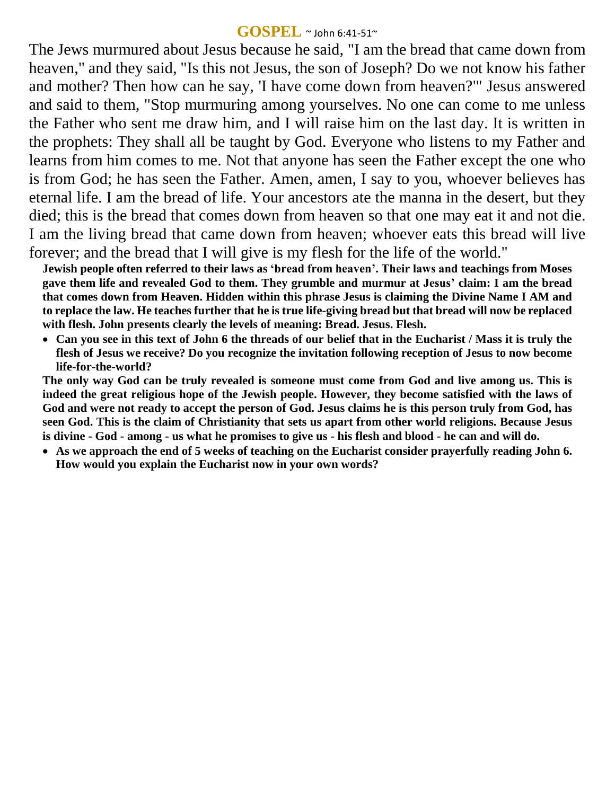#### **GOSPEL** ~ John 6:41-51~

The Jews murmured about Jesus because he said, "I am the bread that came down from heaven," and they said, "Is this not Jesus, the son of Joseph? Do we not know his father and mother? Then how can he say, 'I have come down from heaven?'" Jesus answered and said to them, "Stop murmuring among yourselves. No one can come to me unless the Father who sent me draw him, and I will raise him on the last day. It is written in the prophets: They shall all be taught by God. Everyone who listens to my Father and learns from him comes to me. Not that anyone has seen the Father except the one who is from God; he has seen the Father. Amen, amen, I say to you, whoever believes has eternal life. I am the bread of life. Your ancestors ate the manna in the desert, but they died; this is the bread that comes down from heaven so that one may eat it and not die. I am the living bread that came down from heaven; whoever eats this bread will live forever; and the bread that I will give is my flesh for the life of the world."

**Jewish people often referred to their laws as 'bread from heaven'. Their laws and teachings from Moses gave them life and revealed God to them. They grumble and murmur at Jesus' claim: I am the bread that comes down from Heaven. Hidden within this phrase Jesus is claiming the Divine Name I AM and to replace the law. He teaches further that he is true life-giving bread but that bread will now be replaced with flesh. John presents clearly the levels of meaning: Bread. Jesus. Flesh.** 

 **Can you see in this text of John 6 the threads of our belief that in the Eucharist / Mass it is truly the flesh of Jesus we receive? Do you recognize the invitation following reception of Jesus to now become life-for-the-world?**

**The only way God can be truly revealed is someone must come from God and live among us. This is indeed the great religious hope of the Jewish people. However, they become satisfied with the laws of God and were not ready to accept the person of God. Jesus claims he is this person truly from God, has seen God. This is the claim of Christianity that sets us apart from other world religions. Because Jesus is divine - God - among - us what he promises to give us - his flesh and blood - he can and will do.** 

 **As we approach the end of 5 weeks of teaching on the Eucharist consider prayerfully reading John 6. How would you explain the Eucharist now in your own words?**